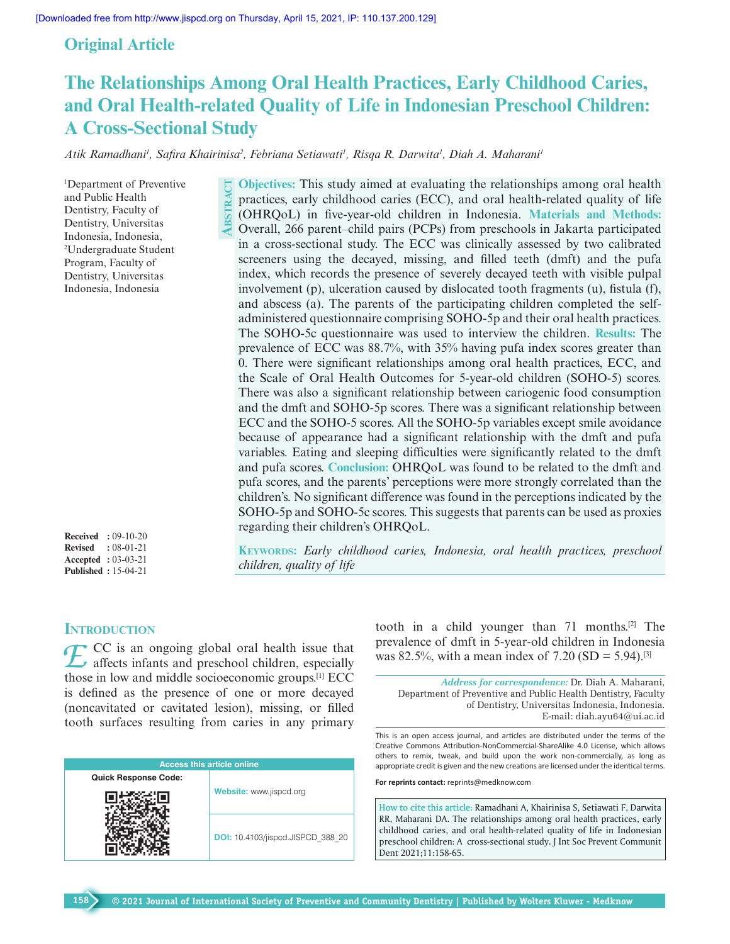## **Original Article**

# **The Relationships Among Oral Health Practices, Early Childhood Caries, and Oral Health-related Quality of Life in Indonesian Preschool Children: A Cross-Sectional Study**

*Atik Ramadhani1 , Safira Khairinisa2 , Febriana Setiawati1 , Risqa R. Darwita1 , Diah A. Maharani1*

1 Department of Preventive and Public Health Dentistry, Faculty of Dentistry, Universitas Indonesia, Indonesia, 2 Undergraduate Student Program, Faculty of Dentistry, Universitas Indonesia, Indonesia

**Received :** 09-10-20 **Revised :** 08-01-21 **Accepted :** 03-03-21 **Published :** 15-04-21

**Objectives:** This study aimed at evaluating the relationships among oral health practices, early childhood caries (ECC), and oral health-related quality of life (OHRQoL) in five-year-old children in Indonesia. **Materials and Methods:** OHRQoL) in five-year-old children in Indonesia. **Materials and Methods:**<br>Overall, 266 parent–child pairs (PCPs) from preschools in Jakarta participated in a cross-sectional study. The ECC was clinically assessed by two calibrated screeners using the decayed, missing, and filled teeth (dmft) and the pufa index, which records the presence of severely decayed teeth with visible pulpal involvement (p), ulceration caused by dislocated tooth fragments (u), fistula (f), and abscess (a). The parents of the participating children completed the selfadministered questionnaire comprising SOHO-5p and their oral health practices. The SOHO-5c questionnaire was used to interview the children. **Results:** The prevalence of ECC was 88.7%, with 35% having pufa index scores greater than 0. There were significant relationships among oral health practices, ECC, and the Scale of Oral Health Outcomes for 5-year-old children (SOHO-5) scores. There was also a significant relationship between cariogenic food consumption and the dmft and SOHO-5p scores. There was a significant relationship between ECC and the SOHO-5 scores. All the SOHO-5p variables except smile avoidance because of appearance had a significant relationship with the dmft and pufa variables. Eating and sleeping difficulties were significantly related to the dmft and pufa scores. **Conclusion:** OHRQoL was found to be related to the dmft and pufa scores, and the parents' perceptions were more strongly correlated than the children's. No significant difference was found in the perceptions indicated by the SOHO-5p and SOHO-5c scores. This suggests that parents can be used as proxies regarding their children's OHRQoL.  $\mathbf{E}$ 

**Keywords:** *Early childhood caries, Indonesia, oral health practices, preschool children, quality of life*

## **INTRODUCTION**

**158**

*E* CC is an ongoing global oral health issue that affects infants and preschool children, especially these in law and middle assissant is amount [[[ECC those in low and middle socioeconomic groups.[1] ECC is defined as the presence of one or more decayed (noncavitated or cavitated lesion), missing, or filled tooth surfaces resulting from caries in any primary

| <b>Access this article online</b> |                                          |  |  |  |  |
|-----------------------------------|------------------------------------------|--|--|--|--|
| <b>Quick Response Code:</b>       |                                          |  |  |  |  |
|                                   | Website: www.jispcd.org                  |  |  |  |  |
|                                   | <b>DOI:</b> 10.4103/jispcd.JISPCD 388 20 |  |  |  |  |

tooth in a child younger than 71 months.[2] The prevalence of dmft in 5-year-old children in Indonesia was 82.5%, with a mean index of 7.20 (SD = 5.94).<sup>[3]</sup>

*Address for correspondence:* Dr. Diah A. Maharani, Department of Preventive and Public Health Dentistry, Faculty of Dentistry, Universitas Indonesia, Indonesia. E-mail: diah.ayu64@ui.ac.id

This is an open access journal, and articles are distributed under the terms of the Creative Commons Attribution-NonCommercial-ShareAlike 4.0 License, which allows others to remix, tweak, and build upon the work non-commercially, as long as appropriate credit is given and the new creations are licensed under the identical terms.

**For reprints contact:** reprints@medknow.com

**How to cite this article:** Ramadhani A, Khairinisa S, Setiawati F, Darwita RR, Maharani DA. The relationships among oral health practices, early childhood caries, and oral health-related quality of life in Indonesian preschool children: A cross-sectional study. J Int Soc Prevent Communit Dent 2021;11:158-65.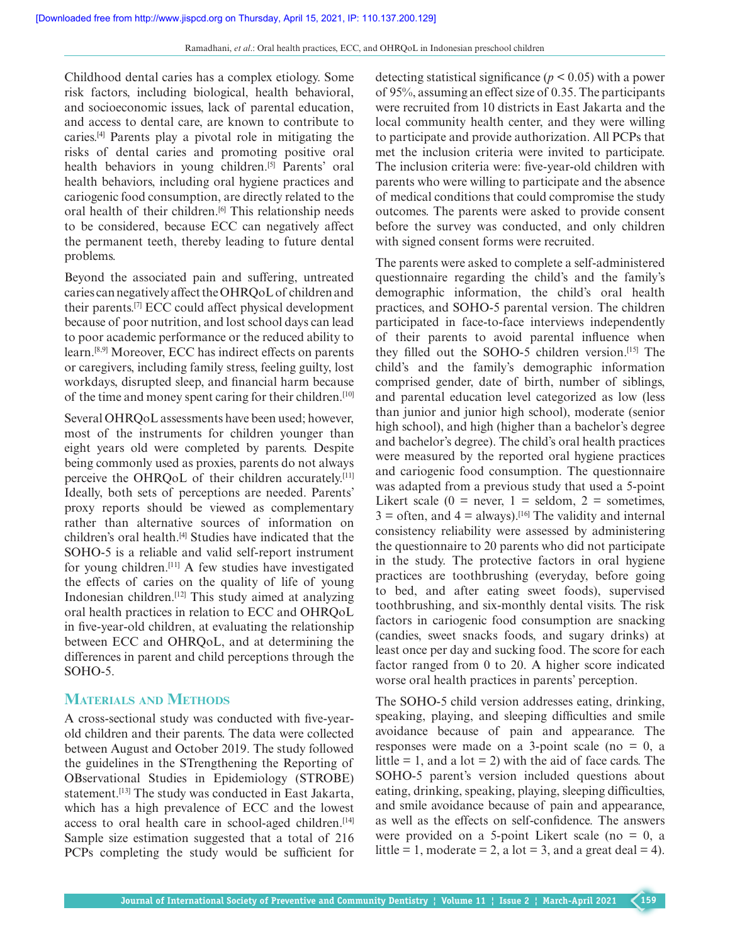Childhood dental caries has a complex etiology. Some risk factors, including biological, health behavioral, and socioeconomic issues, lack of parental education, and access to dental care, are known to contribute to caries.[4] Parents play a pivotal role in mitigating the risks of dental caries and promoting positive oral health behaviors in young children.<sup>[5]</sup> Parents' oral health behaviors, including oral hygiene practices and cariogenic food consumption, are directly related to the oral health of their children.<sup>[6]</sup> This relationship needs to be considered, because ECC can negatively affect the permanent teeth, thereby leading to future dental problems.

Beyond the associated pain and suffering, untreated caries can negatively affect the OHRQoL of children and their parents.[7] ECC could affect physical development because of poor nutrition, and lost school days can lead to poor academic performance or the reduced ability to learn.[8,9] Moreover, ECC has indirect effects on parents or caregivers, including family stress, feeling guilty, lost workdays, disrupted sleep, and financial harm because of the time and money spent caring for their children.[10]

Several OHRQoL assessments have been used; however, most of the instruments for children younger than eight years old were completed by parents. Despite being commonly used as proxies, parents do not always perceive the OHRQoL of their children accurately.<sup>[11]</sup> Ideally, both sets of perceptions are needed. Parents' proxy reports should be viewed as complementary rather than alternative sources of information on children's oral health.<sup>[4]</sup> Studies have indicated that the SOHO-5 is a reliable and valid self-report instrument for young children.<sup>[11]</sup> A few studies have investigated the effects of caries on the quality of life of young Indonesian children.[12] This study aimed at analyzing oral health practices in relation to ECC and OHRQoL in five-year-old children, at evaluating the relationship between ECC and OHRQoL, and at determining the differences in parent and child perceptions through the SOHO-5.

## **Materials and Methods**

A cross-sectional study was conducted with five-yearold children and their parents. The data were collected between August and October 2019. The study followed the guidelines in the STrengthening the Reporting of OBservational Studies in Epidemiology (STROBE) statement.<sup>[13]</sup> The study was conducted in East Jakarta, which has a high prevalence of ECC and the lowest access to oral health care in school-aged children.<sup>[14]</sup> Sample size estimation suggested that a total of 216 PCPs completing the study would be sufficient for

detecting statistical significance ( $p < 0.05$ ) with a power of 95%, assuming an effect size of 0.35. The participants were recruited from 10 districts in East Jakarta and the local community health center, and they were willing to participate and provide authorization. All PCPs that met the inclusion criteria were invited to participate. The inclusion criteria were: five-year-old children with parents who were willing to participate and the absence of medical conditions that could compromise the study outcomes. The parents were asked to provide consent before the survey was conducted, and only children with signed consent forms were recruited.

The parents were asked to complete a self-administered questionnaire regarding the child's and the family's demographic information, the child's oral health practices, and SOHO-5 parental version. The children participated in face-to-face interviews independently of their parents to avoid parental influence when they filled out the SOHO-5 children version.[15] The child's and the family's demographic information comprised gender, date of birth, number of siblings, and parental education level categorized as low (less than junior and junior high school), moderate (senior high school), and high (higher than a bachelor's degree and bachelor's degree). The child's oral health practices were measured by the reported oral hygiene practices and cariogenic food consumption. The questionnaire was adapted from a previous study that used a 5-point Likert scale (0 = never, 1 = seldom, 2 = sometimes,  $3 =$  often, and  $4 =$  always).<sup>[16]</sup> The validity and internal consistency reliability were assessed by administering the questionnaire to 20 parents who did not participate in the study. The protective factors in oral hygiene practices are toothbrushing (everyday, before going to bed, and after eating sweet foods), supervised toothbrushing, and six-monthly dental visits. The risk factors in cariogenic food consumption are snacking (candies, sweet snacks foods, and sugary drinks) at least once per day and sucking food. The score for each factor ranged from 0 to 20. A higher score indicated worse oral health practices in parents' perception.

The SOHO-5 child version addresses eating, drinking, speaking, playing, and sleeping difficulties and smile avoidance because of pain and appearance. The responses were made on a 3-point scale (no  $= 0$ , a little  $= 1$ , and a lot  $= 2$ ) with the aid of face cards. The SOHO-5 parent's version included questions about eating, drinking, speaking, playing, sleeping difficulties, and smile avoidance because of pain and appearance, as well as the effects on self-confidence. The answers were provided on a 5-point Likert scale (no  $= 0$ , a little = 1, moderate = 2, a lot = 3, and a great deal = 4).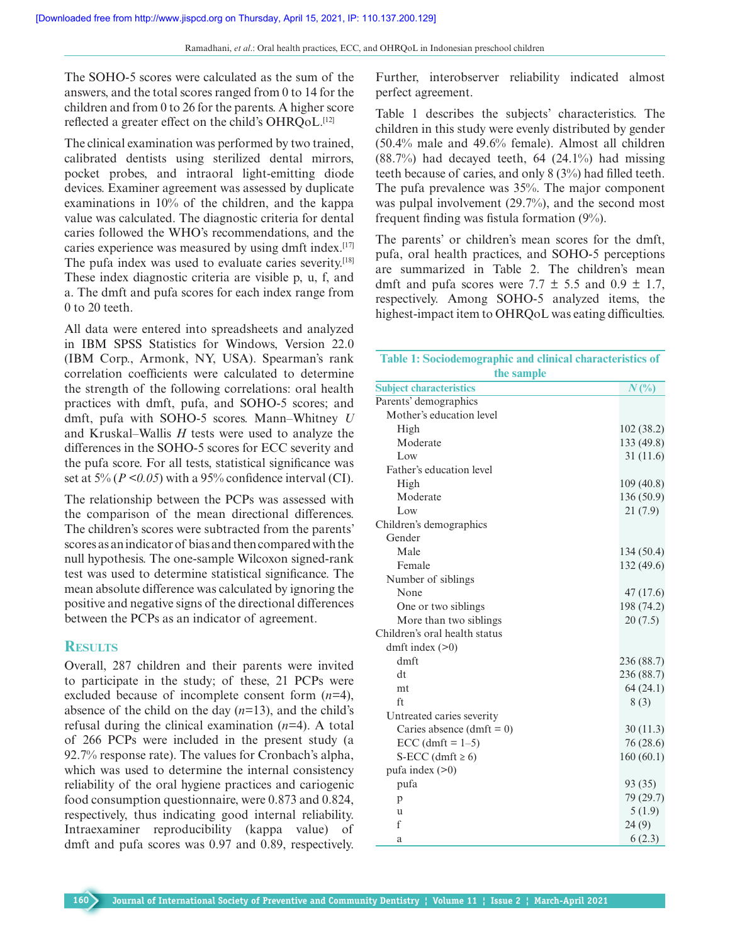The SOHO-5 scores were calculated as the sum of the answers, and the total scores ranged from 0 to 14 for the children and from 0 to 26 for the parents. A higher score reflected a greater effect on the child's OHRQoL.<sup>[12]</sup>

The clinical examination was performed by two trained, calibrated dentists using sterilized dental mirrors, pocket probes, and intraoral light-emitting diode devices. Examiner agreement was assessed by duplicate examinations in 10% of the children, and the kappa value was calculated. The diagnostic criteria for dental caries followed the WHO's recommendations, and the caries experience was measured by using dmft index.<sup>[17]</sup> The pufa index was used to evaluate caries severity.<sup>[18]</sup> These index diagnostic criteria are visible p, u, f, and a. The dmft and pufa scores for each index range from 0 to 20 teeth.

All data were entered into spreadsheets and analyzed in IBM SPSS Statistics for Windows, Version 22.0 (IBM Corp., Armonk, NY, USA). Spearman's rank correlation coefficients were calculated to determine the strength of the following correlations: oral health practices with dmft, pufa, and SOHO-5 scores; and dmft, pufa with SOHO-5 scores. Mann–Whitney *U* and Kruskal–Wallis *H* tests were used to analyze the differences in the SOHO-5 scores for ECC severity and the pufa score. For all tests, statistical significance was set at  $5\%$  ( $P \le 0.05$ ) with a 95% confidence interval (CI).

The relationship between the PCPs was assessed with the comparison of the mean directional differences. The children's scores were subtracted from the parents' scores as an indicator of bias and then compared with the null hypothesis. The one-sample Wilcoxon signed-rank test was used to determine statistical significance. The mean absolute difference was calculated by ignoring the positive and negative signs of the directional differences between the PCPs as an indicator of agreement.

## **Results**

Overall, 287 children and their parents were invited to participate in the study; of these, 21 PCPs were excluded because of incomplete consent form (*n=*4), absence of the child on the day (*n=*13), and the child's refusal during the clinical examination (*n=*4). A total of 266 PCPs were included in the present study (a 92.7% response rate). The values for Cronbach's alpha, which was used to determine the internal consistency reliability of the oral hygiene practices and cariogenic food consumption questionnaire, were 0.873 and 0.824, respectively, thus indicating good internal reliability. Intraexaminer reproducibility (kappa value) of dmft and pufa scores was 0.97 and 0.89, respectively.

Further, interobserver reliability indicated almost perfect agreement.

Table 1 describes the subjects' characteristics. The children in this study were evenly distributed by gender (50.4% male and 49.6% female). Almost all children  $(88.7%)$  had decayed teeth, 64  $(24.1%)$  had missing teeth because of caries, and only 8 (3%) had filled teeth. The pufa prevalence was 35%. The major component was pulpal involvement (29.7%), and the second most frequent finding was fistula formation (9%).

The parents' or children's mean scores for the dmft, pufa, oral health practices, and SOHO-5 perceptions are summarized in Table 2. The children's mean dmft and pufa scores were  $7.7 \pm 5.5$  and  $0.9 \pm 1.7$ , respectively. Among SOHO-5 analyzed items, the highest-impact item to OHRQoL was eating difficulties.

| Table 1: Sociodemographic and clinical characteristics of |            |  |  |
|-----------------------------------------------------------|------------|--|--|
| the sample                                                |            |  |  |
| <b>Subject characteristics</b>                            | $N(\%)$    |  |  |
| Parents' demographics                                     |            |  |  |
| Mother's education level                                  |            |  |  |
| High                                                      | 102(38.2)  |  |  |
| Moderate                                                  | 133 (49.8) |  |  |
| Low                                                       | 31(11.6)   |  |  |
| Father's education level                                  |            |  |  |
| High                                                      | 109(40.8)  |  |  |
| Moderate                                                  | 136 (50.9) |  |  |
| Low                                                       | 21(7.9)    |  |  |
| Children's demographics                                   |            |  |  |
| Gender                                                    |            |  |  |
| Male                                                      | 134(50.4)  |  |  |
| Female                                                    | 132 (49.6) |  |  |
| Number of siblings                                        |            |  |  |
| None                                                      | 47(17.6)   |  |  |
| One or two siblings                                       | 198 (74.2) |  |  |
| More than two siblings                                    | 20(7.5)    |  |  |
| Children's oral health status                             |            |  |  |
| dmft index $(>0)$                                         |            |  |  |
| dmft                                                      | 236 (88.7) |  |  |
| đt                                                        | 236 (88.7) |  |  |
| <sub>mt</sub>                                             | 64(24.1)   |  |  |
| ft                                                        | 8(3)       |  |  |
| Untreated caries severity                                 |            |  |  |
| Caries absence $(dmft = 0)$                               | 30(11.3)   |  |  |
| $ECC$ (dmft = 1-5)                                        | 76 (28.6)  |  |  |
| S-ECC (dmft $\geq 6$ )                                    | 160(60.1)  |  |  |
| pufa index $(>0)$                                         |            |  |  |
| pufa                                                      | 93 (35)    |  |  |
| p                                                         | 79 (29.7)  |  |  |
| u                                                         | 5(1.9)     |  |  |
| f                                                         | 24(9)      |  |  |
| а                                                         | 6(2.3)     |  |  |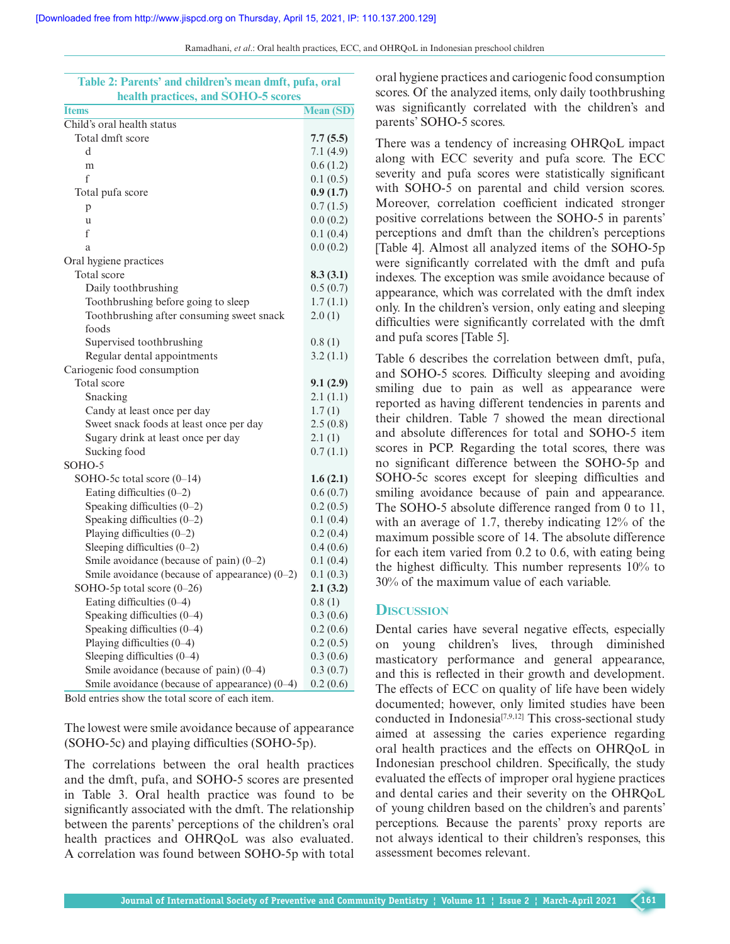**Table 2: Parents' and children's mean dmft, pufa, oral** 

Ramadhani, *et al*.: Oral health practices, ECC, and OHRQoL in Indonesian preschool children

| emurch s mean unit, pura, oral<br>health practices, and SOHO-5 scores |                  |
|-----------------------------------------------------------------------|------------------|
| <b>Items</b>                                                          | <b>Mean (SD)</b> |
| Child's oral health status                                            |                  |
| Total dmft score                                                      | 7.7(5.5)         |
| d                                                                     | 7.1(4.9)         |
| m                                                                     | 0.6(1.2)         |
| f                                                                     | 0.1(0.5)         |
| Total pufa score                                                      | 0.9(1.7)         |
| p                                                                     | 0.7(1.5)         |
| u                                                                     | 0.0(0.2)         |
| f                                                                     | 0.1(0.4)         |
| a                                                                     | 0.0(0.2)         |
| Oral hygiene practices                                                |                  |
| Total score                                                           | 8.3(3.1)         |
| Daily toothbrushing                                                   | 0.5(0.7)         |
| Toothbrushing before going to sleep                                   | 1.7(1.1)         |
| Toothbrushing after consuming sweet snack                             | 2.0(1)           |
| foods                                                                 |                  |
| Supervised toothbrushing                                              | 0.8(1)           |
| Regular dental appointments                                           | 3.2(1.1)         |
| Cariogenic food consumption                                           |                  |
| Total score                                                           | 9.1(2.9)         |
| Snacking                                                              | 2.1(1.1)         |
| Candy at least once per day                                           | 1.7(1)           |
| Sweet snack foods at least once per day                               | 2.5(0.8)         |
| Sugary drink at least once per day                                    | 2.1(1)           |
| Sucking food                                                          | 0.7(1.1)         |
| SOHO-5                                                                |                  |
| SOHO-5c total score $(0-14)$                                          | 1.6(2.1)         |
| Eating difficulties $(0-2)$                                           | 0.6(0.7)         |
| Speaking difficulties $(0-2)$                                         | 0.2(0.5)         |
| Speaking difficulties $(0-2)$                                         | 0.1(0.4)         |
| Playing difficulties $(0-2)$                                          | 0.2(0.4)         |
| Sleeping difficulties $(0-2)$                                         | 0.4(0.6)         |
| Smile avoidance (because of pain) $(0-2)$                             | 0.1(0.4)         |
| Smile avoidance (because of appearance) $(0-2)$                       | 0.1(0.3)         |
| SOHO-5p total score (0-26)                                            | 2.1(3.2)         |
| Eating difficulties (0-4)                                             | 0.8(1)           |
| Speaking difficulties (0-4)                                           | 0.3(0.6)         |
| Speaking difficulties (0-4)                                           | 0.2(0.6)         |
| Playing difficulties (0-4)                                            | 0.2(0.5)         |
| Sleeping difficulties $(0-4)$                                         | 0.3(0.6)         |
| Smile avoidance (because of pain) $(0-4)$                             | 0.3(0.7)         |
| Smile avoidance (because of appearance) $(0-4)$                       | 0.2(0.6)         |

Bold entries show the total score of each item.

The lowest were smile avoidance because of appearance (SOHO-5c) and playing difficulties (SOHO-5p).

The correlations between the oral health practices and the dmft, pufa, and SOHO-5 scores are presented in Table 3. Oral health practice was found to be significantly associated with the dmft. The relationship between the parents' perceptions of the children's oral health practices and OHRQoL was also evaluated. A correlation was found between SOHO-5p with total

oral hygiene practices and cariogenic food consumption scores. Of the analyzed items, only daily toothbrushing was significantly correlated with the children's and parents' SOHO-5 scores.

There was a tendency of increasing OHRQoL impact along with ECC severity and pufa score. The ECC severity and pufa scores were statistically significant with SOHO-5 on parental and child version scores. Moreover, correlation coefficient indicated stronger positive correlations between the SOHO-5 in parents' perceptions and dmft than the children's perceptions [Table 4]. Almost all analyzed items of the SOHO-5p were significantly correlated with the dmft and pufa indexes. The exception was smile avoidance because of appearance, which was correlated with the dmft index only. In the children's version, only eating and sleeping difficulties were significantly correlated with the dmft and pufa scores [Table 5].

Table 6 describes the correlation between dmft, pufa, and SOHO-5 scores. Difficulty sleeping and avoiding smiling due to pain as well as appearance were reported as having different tendencies in parents and their children. Table 7 showed the mean directional and absolute differences for total and SOHO-5 item scores in PCP. Regarding the total scores, there was no significant difference between the SOHO-5p and SOHO-5c scores except for sleeping difficulties and smiling avoidance because of pain and appearance. The SOHO-5 absolute difference ranged from 0 to 11, with an average of 1.7, thereby indicating 12% of the maximum possible score of 14. The absolute difference for each item varied from 0.2 to 0.6, with eating being the highest difficulty. This number represents 10% to 30% of the maximum value of each variable.

#### **Discussion**

Dental caries have several negative effects, especially on young children's lives, through diminished masticatory performance and general appearance, and this is reflected in their growth and development. The effects of ECC on quality of life have been widely documented; however, only limited studies have been conducted in Indonesia[7,9,12] This cross-sectional study aimed at assessing the caries experience regarding oral health practices and the effects on OHRQoL in Indonesian preschool children. Specifically, the study evaluated the effects of improper oral hygiene practices and dental caries and their severity on the OHRQoL of young children based on the children's and parents' perceptions. Because the parents' proxy reports are not always identical to their children's responses, this assessment becomes relevant.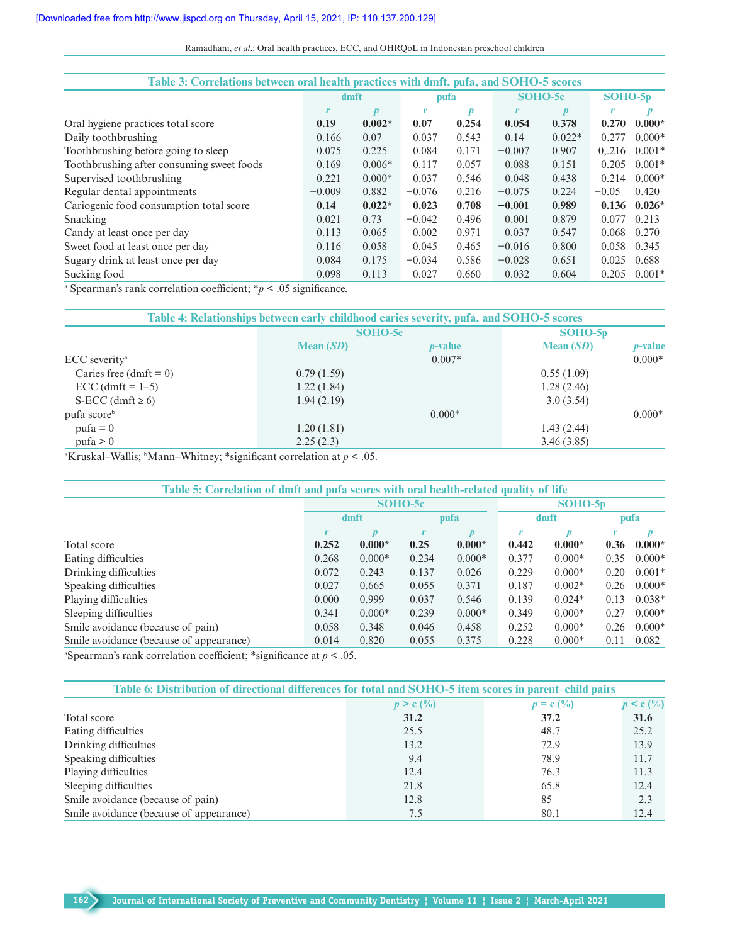Ramadhani, *et al*.: Oral health practices, ECC, and OHRQoL in Indonesian preschool children

| Table 3: Correlations between oral health practices with dmft, pufa, and SOHO-5 scores |          |                  |          |       |          |                  |           |          |
|----------------------------------------------------------------------------------------|----------|------------------|----------|-------|----------|------------------|-----------|----------|
|                                                                                        | dmft     |                  | pufa     |       | SOHO-5c  |                  | $SOHO-5p$ |          |
|                                                                                        |          | $\boldsymbol{p}$ | r        | p     | r        | $\boldsymbol{p}$ | r         | D        |
| Oral hygiene practices total score                                                     | 0.19     | $0.002*$         | 0.07     | 0.254 | 0.054    | 0.378            | 0.270     | $0.000*$ |
| Daily toothbrushing                                                                    | 0.166    | 0.07             | 0.037    | 0.543 | 0.14     | $0.022*$         | 0.277     | $0.000*$ |
| Toothbrushing before going to sleep                                                    | 0.075    | 0.225            | 0.084    | 0.171 | $-0.007$ | 0.907            | 0.216     | $0.001*$ |
| Toothbrushing after consuming sweet foods                                              | 0.169    | $0.006*$         | 0.117    | 0.057 | 0.088    | 0.151            | 0.205     | $0.001*$ |
| Supervised toothbrushing                                                               | 0.221    | $0.000*$         | 0.037    | 0.546 | 0.048    | 0.438            | 0.214     | $0.000*$ |
| Regular dental appointments                                                            | $-0.009$ | 0.882            | $-0.076$ | 0.216 | $-0.075$ | 0.224            | $-0.05$   | 0.420    |
| Cariogenic food consumption total score                                                | 0.14     | $0.022*$         | 0.023    | 0.708 | $-0.001$ | 0.989            | 0.136     | $0.026*$ |
| Snacking                                                                               | 0.021    | 0.73             | $-0.042$ | 0.496 | 0.001    | 0.879            | 0.077     | 0.213    |
| Candy at least once per day                                                            | 0.113    | 0.065            | 0.002    | 0.971 | 0.037    | 0.547            | 0.068     | 0.270    |
| Sweet food at least once per day                                                       | 0.116    | 0.058            | 0.045    | 0.465 | $-0.016$ | 0.800            | 0.058     | 0.345    |
| Sugary drink at least once per day                                                     | 0.084    | 0.175            | $-0.034$ | 0.586 | $-0.028$ | 0.651            | 0.025     | 0.688    |
| Sucking food                                                                           | 0.098    | 0.113            | 0.027    | 0.660 | 0.032    | 0.604            | 0.205     | $0.001*$ |

a Spearman's rank correlation coefficient; \**p* < .05 significance.

|                           | Table 4: Relationships between early childhood caries severity, pufa, and SOHO-5 scores |                 |             |                 |
|---------------------------|-----------------------------------------------------------------------------------------|-----------------|-------------|-----------------|
|                           |                                                                                         | SOHO-5c         |             |                 |
|                           | Mean $(SD)$                                                                             | <i>p</i> -value | Mean $(SD)$ | <i>p</i> -value |
| ECC severity <sup>a</sup> |                                                                                         | $0.007*$        |             | $0.000*$        |
| Caries free (dmft = $0$ ) | 0.79(1.59)                                                                              |                 | 0.55(1.09)  |                 |
| $ECC$ (dmft = 1-5)        | 1.22(1.84)                                                                              |                 | 1.28(2.46)  |                 |
| S-ECC (dmft $\geq 6$ )    | 1.94(2.19)                                                                              |                 | 3.0(3.54)   |                 |
| pufa score <sup>b</sup>   |                                                                                         | $0.000*$        |             | $0.000*$        |
| $puta = 0$                | 1.20(1.81)                                                                              |                 | 1.43(2.44)  |                 |
| puta > 0                  | 2.25(2.3)                                                                               |                 | 3.46(3.85)  |                 |

a Kruskal–Wallis; b Mann–Whitney; \*significant correlation at *p* < .05.

| Table 5: Correlation of dmft and pufa scores with oral health-related quality of life |       |              |         |          |       |           |      |          |  |
|---------------------------------------------------------------------------------------|-------|--------------|---------|----------|-------|-----------|------|----------|--|
|                                                                                       |       |              | SOHO-5c |          |       | $SOHO-5p$ |      |          |  |
|                                                                                       |       | dmft<br>pufa |         |          | dmft  |           | pufa |          |  |
|                                                                                       | r     |              |         |          |       |           |      |          |  |
| Total score                                                                           | 0.252 | $0.000*$     | 0.25    | $0.000*$ | 0.442 | $0.000*$  | 0.36 | $0.000*$ |  |
| Eating difficulties                                                                   | 0.268 | $0.000*$     | 0.234   | $0.000*$ | 0.377 | $0.000*$  | 0.35 | $0.000*$ |  |
| Drinking difficulties                                                                 | 0.072 | 0.243        | 0.137   | 0.026    | 0.229 | $0.000*$  | 0.20 | $0.001*$ |  |
| Speaking difficulties                                                                 | 0.027 | 0.665        | 0.055   | 0.371    | 0.187 | $0.002*$  | 0.26 | $0.000*$ |  |
| Playing difficulties                                                                  | 0.000 | 0.999        | 0.037   | 0.546    | 0.139 | $0.024*$  | 0.13 | $0.038*$ |  |
| Sleeping difficulties                                                                 | 0.341 | $0.000*$     | 0.239   | $0.000*$ | 0.349 | $0.000*$  | 0.27 | $0.000*$ |  |
| Smile avoidance (because of pain)                                                     | 0.058 | 0.348        | 0.046   | 0.458    | 0.252 | $0.000*$  | 0.26 | $0.000*$ |  |
| Smile avoidance (because of appearance)                                               | 0.014 | 0.820        | 0.055   | 0.375    | 0.228 | $0.000*$  | 0.11 | 0.082    |  |
|                                                                                       |       | $\sim$ $-$   |         |          |       |           |      |          |  |

<sup>a</sup>Spearman's rank correlation coefficient; \*significance at  $p < .05$ .

| Table 6: Distribution of directional differences for total and SOHO-5 item scores in parent–child pairs |             |                |                                     |  |  |  |
|---------------------------------------------------------------------------------------------------------|-------------|----------------|-------------------------------------|--|--|--|
|                                                                                                         | $p > c$ (%) | $p = c \, (%)$ | $p \leq c \left(\frac{0}{0}\right)$ |  |  |  |
| Total score                                                                                             | 31.2        | 37.2           | 31.6                                |  |  |  |
| Eating difficulties                                                                                     | 25.5        | 48.7           | 25.2                                |  |  |  |
| Drinking difficulties                                                                                   | 13.2        | 72.9           | 13.9                                |  |  |  |
| Speaking difficulties                                                                                   | 9.4         | 78.9           | 11.7                                |  |  |  |
| Playing difficulties                                                                                    | 12.4        | 76.3           | 11.3                                |  |  |  |
| Sleeping difficulties                                                                                   | 21.8        | 65.8           | 12.4                                |  |  |  |
| Smile avoidance (because of pain)                                                                       | 12.8        | 85             | 2.3                                 |  |  |  |
| Smile avoidance (because of appearance)                                                                 | 7.5         | 80.1           | 12.4                                |  |  |  |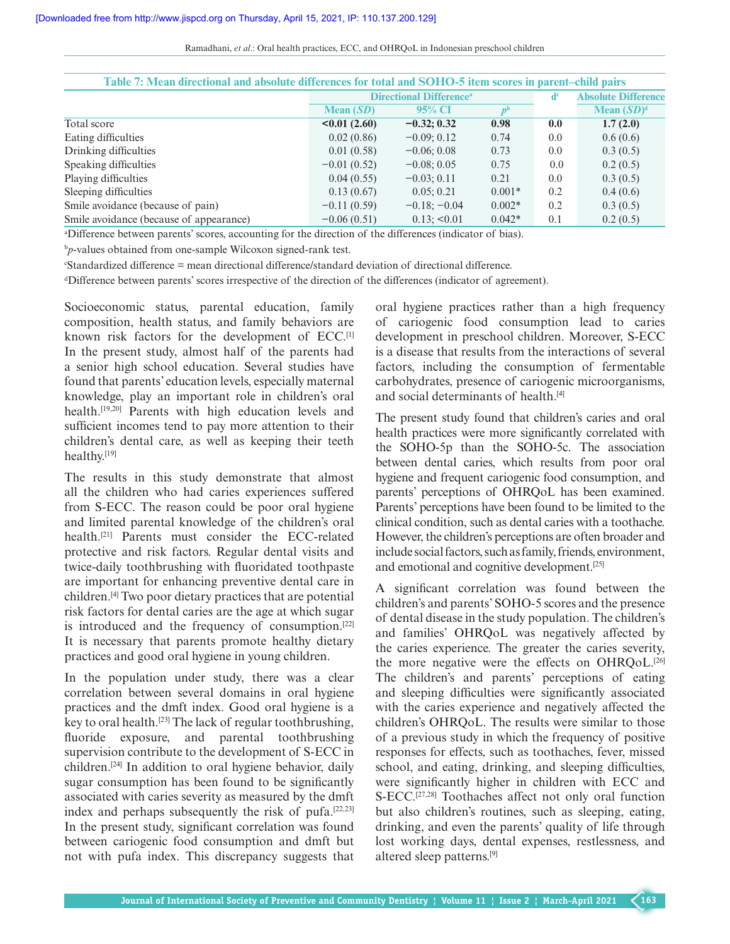| Ramadhani, et al.: Oral health practices, ECC, and OHRQoL in Indonesian preschool children |  |  |  |
|--------------------------------------------------------------------------------------------|--|--|--|
|--------------------------------------------------------------------------------------------|--|--|--|

| Table 7: Mean directional and absolute differences for total and SOHO-5 item scores in parent–child pairs |               |                                            |          |                            |               |  |  |
|-----------------------------------------------------------------------------------------------------------|---------------|--------------------------------------------|----------|----------------------------|---------------|--|--|
|                                                                                                           |               | <b>Directional Difference</b> <sup>a</sup> |          | <b>Absolute Difference</b> |               |  |  |
|                                                                                                           | Mean $(SD)$   | 95% CI                                     |          |                            | Mean $(SD)^d$ |  |  |
| Total score                                                                                               | <0.01(2.60)   | $-0.32; 0.32$                              | 0.98     | 0.0                        | 1.7(2.0)      |  |  |
| Eating difficulties                                                                                       | 0.02(0.86)    | $-0.09:0.12$                               | 0.74     | 0.0 <sub>1</sub>           | 0.6(0.6)      |  |  |
| Drinking difficulties                                                                                     | 0.01(0.58)    | $-0.06; 0.08$                              | 0.73     | 0.0                        | 0.3(0.5)      |  |  |
| Speaking difficulties                                                                                     | $-0.01(0.52)$ | $-0.08:0.05$                               | 0.75     | 0.0                        | 0.2(0.5)      |  |  |
| Playing difficulties                                                                                      | 0.04(0.55)    | $-0.03; 0.11$                              | 0.21     | 0.0                        | 0.3(0.5)      |  |  |
| Sleeping difficulties                                                                                     | 0.13(0.67)    | 0.05; 0.21                                 | $0.001*$ | 0.2                        | 0.4(0.6)      |  |  |
| Smile avoidance (because of pain)                                                                         | $-0.11(0.59)$ | $-0.18; -0.04$                             | $0.002*$ | 0.2                        | 0.3(0.5)      |  |  |
| Smile avoidance (because of appearance)                                                                   | $-0.06(0.51)$ | $0.13$ ; $\leq 0.01$                       | $0.042*$ | 0.1                        | 0.2(0.5)      |  |  |

a Difference between parents' scores, accounting for the direction of the differences (indicator of bias).

b *p-*values obtained from one-sample Wilcoxon signed-rank test.

c Standardized difference = mean directional difference/standard deviation of directional difference.

d Difference between parents' scores irrespective of the direction of the differences (indicator of agreement).

Socioeconomic status, parental education, family composition, health status, and family behaviors are known risk factors for the development of ECC.[1] In the present study, almost half of the parents had a senior high school education. Several studies have found that parents' education levels, especially maternal knowledge, play an important role in children's oral health.<sup>[19,20]</sup> Parents with high education levels and sufficient incomes tend to pay more attention to their children's dental care, as well as keeping their teeth healthy.<sup>[19]</sup>

The results in this study demonstrate that almost all the children who had caries experiences suffered from S-ECC. The reason could be poor oral hygiene and limited parental knowledge of the children's oral health.[21] Parents must consider the ECC-related protective and risk factors. Regular dental visits and twice-daily toothbrushing with fluoridated toothpaste are important for enhancing preventive dental care in children.[4] Two poor dietary practices that are potential risk factors for dental caries are the age at which sugar is introduced and the frequency of consumption.<sup>[22]</sup> It is necessary that parents promote healthy dietary practices and good oral hygiene in young children.

In the population under study, there was a clear correlation between several domains in oral hygiene practices and the dmft index. Good oral hygiene is a key to oral health.[23] The lack of regular toothbrushing, fluoride exposure, and parental toothbrushing supervision contribute to the development of S-ECC in children.[24] In addition to oral hygiene behavior, daily sugar consumption has been found to be significantly associated with caries severity as measured by the dmft index and perhaps subsequently the risk of pufa.[22,23] In the present study, significant correlation was found between cariogenic food consumption and dmft but not with pufa index. This discrepancy suggests that

oral hygiene practices rather than a high frequency of cariogenic food consumption lead to caries development in preschool children. Moreover, S-ECC is a disease that results from the interactions of several factors, including the consumption of fermentable carbohydrates, presence of cariogenic microorganisms, and social determinants of health.[4]

The present study found that children's caries and oral health practices were more significantly correlated with the SOHO-5p than the SOHO-5c. The association between dental caries, which results from poor oral hygiene and frequent cariogenic food consumption, and parents' perceptions of OHRQoL has been examined. Parents' perceptions have been found to be limited to the clinical condition, such as dental caries with a toothache. However, the children's perceptions are often broader and include social factors, such as family, friends, environment, and emotional and cognitive development.[25]

A significant correlation was found between the children's and parents' SOHO-5 scores and the presence of dental disease in the study population. The children's and families' OHRQoL was negatively affected by the caries experience. The greater the caries severity, the more negative were the effects on OHRQoL.<sup>[26]</sup> The children's and parents' perceptions of eating and sleeping difficulties were significantly associated with the caries experience and negatively affected the children's OHRQoL. The results were similar to those of a previous study in which the frequency of positive responses for effects, such as toothaches, fever, missed school, and eating, drinking, and sleeping difficulties, were significantly higher in children with ECC and S-ECC.<sup>[27,28]</sup> Toothaches affect not only oral function but also children's routines, such as sleeping, eating, drinking, and even the parents' quality of life through lost working days, dental expenses, restlessness, and altered sleep patterns.[9]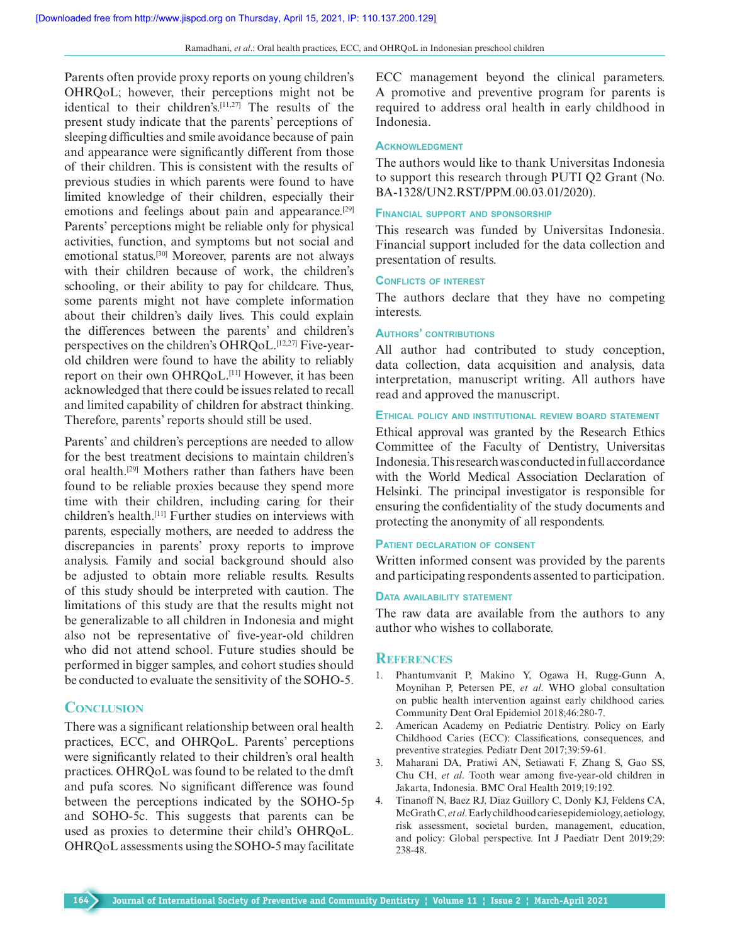Parents often provide proxy reports on young children's OHRQoL; however, their perceptions might not be identical to their children's.[11,27] The results of the present study indicate that the parents' perceptions of sleeping difficulties and smile avoidance because of pain and appearance were significantly different from those of their children. This is consistent with the results of previous studies in which parents were found to have limited knowledge of their children, especially their emotions and feelings about pain and appearance.<sup>[29]</sup> Parents' perceptions might be reliable only for physical activities, function, and symptoms but not social and emotional status.<sup>[30]</sup> Moreover, parents are not always with their children because of work, the children's schooling, or their ability to pay for childcare. Thus, some parents might not have complete information about their children's daily lives. This could explain the differences between the parents' and children's perspectives on the children's OHRQoL.<sup>[12,27]</sup> Five-yearold children were found to have the ability to reliably report on their own OHRQoL.<sup>[11]</sup> However, it has been acknowledged that there could be issues related to recall and limited capability of children for abstract thinking. Therefore, parents' reports should still be used.

Parents' and children's perceptions are needed to allow for the best treatment decisions to maintain children's oral health.[29] Mothers rather than fathers have been found to be reliable proxies because they spend more time with their children, including caring for their children's health.[11] Further studies on interviews with parents, especially mothers, are needed to address the discrepancies in parents' proxy reports to improve analysis. Family and social background should also be adjusted to obtain more reliable results. Results of this study should be interpreted with caution. The limitations of this study are that the results might not be generalizable to all children in Indonesia and might also not be representative of five-year-old children who did not attend school. Future studies should be performed in bigger samples, and cohort studies should be conducted to evaluate the sensitivity of the SOHO-5.

## **Conclusion**

There was a significant relationship between oral health practices, ECC, and OHRQoL. Parents' perceptions were significantly related to their children's oral health practices. OHRQoL was found to be related to the dmft and pufa scores. No significant difference was found between the perceptions indicated by the SOHO-5p and SOHO-5c. This suggests that parents can be used as proxies to determine their child's OHRQoL. OHRQoL assessments using the SOHO-5 may facilitate

ECC management beyond the clinical parameters. A promotive and preventive program for parents is required to address oral health in early childhood in Indonesia.

#### **ACKNOWLEDGMENT**

The authors would like to thank Universitas Indonesia to support this research through PUTI Q2 Grant (No. BA-1328/UN2.RST/PPM.00.03.01/2020).

#### **Financial support and sponsorship**

This research was funded by Universitas Indonesia. Financial support included for the data collection and presentation of results.

#### **Conflicts of interest**

The authors declare that they have no competing interests.

#### **Authors' contributions**

All author had contributed to study conception, data collection, data acquisition and analysis, data interpretation, manuscript writing. All authors have read and approved the manuscript.

#### **Ethical policy and institutional review board statement**

Ethical approval was granted by the Research Ethics Committee of the Faculty of Dentistry, Universitas Indonesia. This research was conducted in full accordance with the World Medical Association Declaration of Helsinki. The principal investigator is responsible for ensuring the confidentiality of the study documents and protecting the anonymity of all respondents.

#### **Patient declaration of consent**

Written informed consent was provided by the parents and participating respondents assented to participation.

#### **Data availability statement**

The raw data are available from the authors to any author who wishes to collaborate.

#### **References**

- 1. Phantumvanit P, Makino Y, Ogawa H, Rugg-Gunn A, Moynihan P, Petersen PE, *et al*. WHO global consultation on public health intervention against early childhood caries. Community Dent Oral Epidemiol 2018;46:280-7.
- 2. American Academy on Pediatric Dentistry. Policy on Early Childhood Caries (ECC): Classifications, consequences, and preventive strategies. Pediatr Dent 2017;39:59-61.
- 3. Maharani DA, Pratiwi AN, Setiawati F, Zhang S, Gao SS, Chu CH, *et al*. Tooth wear among five-year-old children in Jakarta, Indonesia. BMC Oral Health 2019;19:192.
- 4. Tinanoff N, Baez RJ, Diaz Guillory C, Donly KJ, Feldens CA, McGrath C, *et al*. Early childhood caries epidemiology, aetiology, risk assessment, societal burden, management, education, and policy: Global perspective. Int J Paediatr Dent 2019;29: 238-48.